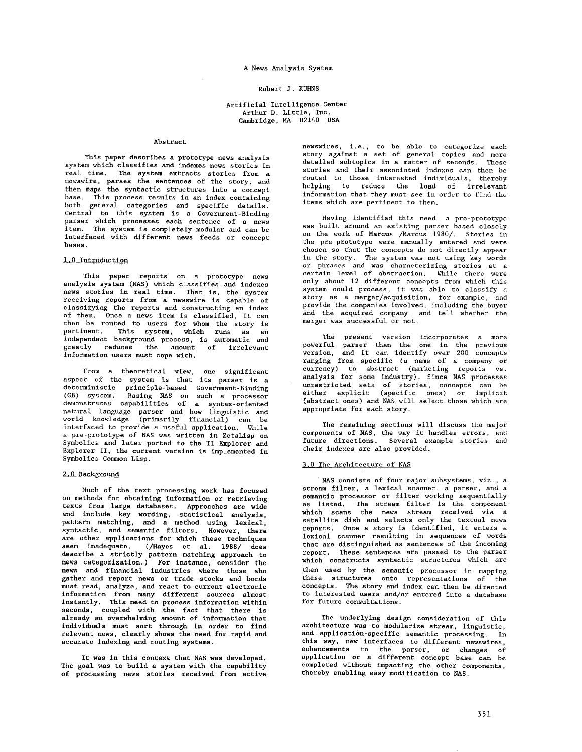# A News Analysis System

## Robert J. KUHNS

## Artificial Intelligence Center Arthur D. Little, Inc. Cambridge, MA 02140 USA

## Abstract

This paper describes a prototype news analysis system Which classifies and indexes news stories in real time. The system extracts stories from a newswire, parses the sentences of the story, and then maps the syntactic structures into a concept base. This process results in an index containing both general categories and specific details. Central to this system is a Government-Binding parser which processes each sentence of a news item. The system is completely modular and can be interfaced with different news feeds or concept bases.

# 1,0 Introduction

This paper reports on a prototype news analysis system (NAS) which classifies and indexes news stories in real time. That is, the system receiving reports from a newswire is capable of classifying the reports and constructing an index of them. Once a news item is classified, it can then be routed to users for whom the story is pertinent. This system, which runs as an independent background process, is automatic and greatly reduces the amount of irrelevant information users must cope with.

From a theoretical view, one significant aspect of the system is that its parser is a deterministic princlple-based Government-Binding (GB) system. Basing NAS on such a processor demonstrates capabilities of a syntax-oriented natural language parser and how linguistic and<br>world knowledge (primarily financial) can be (primarily financial) can be interfaced to provide a useful application. While a pre-prototype of NAS was written in ZetaLisp on Symbolics and later ported to the TI Explorer and Explorer II, the current version is implemented in Symbolics Common Lisp.

## 2.0 Background

Much of the text processing work has focused on methods for obtaining information or retrieving texts from large databases. Approaches are wide and inc]ude key wording, statistical analysis, pattern matching, and a method using lexical, syntactic, and semantic filters. However, there are other applications for which these techniques seem inadequate. (/Hayes et al. 1988/ does describe a strictly pattern matching approach to news categorization.) For instance, consider the news and financial industries where those who gather and report news or trade stocks and bonds must read, analyze, and react to current electronic information from many different sources almost instantly. This need to process information within seconds, coupled with the fact that there is already an overwhelming amount of information that individuals must sort through in order to find relevant news, clearly shows the need for rapid and accurate indexing and routing systems.

It was in this context that NAS was developed. The goal was to build a system with the capability of processing news stories received from active

newswires, i.e., to be able to categorize each story against a set of general topics and more detailed subtopics in a matter of seconds. These stories and their associated indexes can then be routed to those interested individuals, thereby helping to reduce the load of irrelevant information that they must see in order to find the items which are pertinent to them.

Having identified this need, a pre-prototype was built around an existing parser based closely on the work of Marcus /Marcus 1980/. Stories in the pro-prototype were manually entered and were chosen so that the concepts do not directly appear in the story. The system was not using key words or phrases and was characterizing stories at a certain level of abstraction. While there were only about 12 different concepts from which this system could process, it was able to classify a system cours presser,<br>story as a merger/acquisition, for example, and provide the companies involved, including the buyer and the acquired company, and tell whether the merger was successful or not.

The present version incorporates a more powerful parser than the one in the previous version, and it can identify over 200 concepts ranging from specific (a name of a company or currency) to abstract (marketing reports vs. analysis for some industry). Since NAS processes unrestricted sets of stories, concepts can be either explicit (specific ones) or implicit (abstract ones) and NAS will select those which are appropriate for each story.

The remaining sections will discuss the major components of NAS, the way it handles errors, and future directions. Several example stories and their indexes are also provided.

#### 3,0 The Architecture of NAS

NAS consists of four major subsystems, viz., a stream filter, a lexical scanner, a parser, and a semantic processor or filter working sequentially as listed. The stream filter is the component which scans the news stream received via a satellite dish and selects only the textual news reports. Once a story is identified, it enters a lexieal scanner resulting in sequences of words that are distinguished as sentences of the incoming report. These sentences are passed *to* the parser which constructs syntactic structures which are then used by the semantic processor in mapping these structures onto representations of the concepts. The story and index can then he directed to interested users and/or entered into a database for future consultations.

The underlying design consideration of this architecture was to modularlze stream, linguistic, and application-specific semantic processing. In this way, new interfaces to different newswlres, enhancements to the parser, or changes of application or a different concept base can be completed without impacting the other components, thereby enabling easy modification to NAS.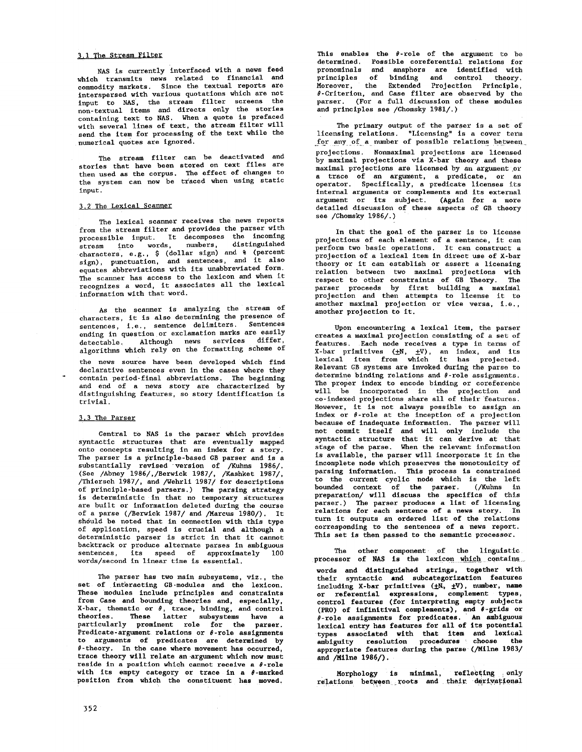## 3,1 The Stream Filter

NAS is currently interfaeed with a news feed which transmits news related to financial and commodity markets. Since the textual reports are interspersed with various quotations which are not input to NAS, the stream filter screens the non-textual items and directs only the stories containing text to NAS. When a quote is prefaced with several lines of text, the stream filter will send the item for processing of the text while the numerical quotes are ignored.

The stream filter can be deactivated and stories that have been stored on text files are then used as the corpus. The effect of changes to the system can now be traced when using static input.

#### 3.2 The Lexical Scanner

The lexical scanner receives the news reports from the stream filter and provides the parser with processlble input. It decomposes the incoming stream into words, numbers, distinguished characters, e.g., \$ (dollar sign) and % (percent sign), punctuation, and sentences, and it also equates abbreviations with its unabbreviated form. The scanner has access to the lexicon and when it recognizes a word, it associates all the lexlcal information with that word.

As the scanner is analyzing the stream of characters, it is also determining the presence of sentences, i.e., sentence delimiters. Sentences ending in question or exclamation marks are easily detectable. Although news services differ, algorithms which rely on the formatting scheme of

the news source have been developed which find declarative sentences even in the cases where they contain perlod-final abbreviations. The beginning and end of a news story are characterized by distinguishing features, so story identification is trivial.

#### 3,\$ The Parser

Central to NAS is the parser which provides syntactic structures that are eventually mapped onto concepts resulting in an index for a story. The parser is a prlnclple-based GB parser and is a substantially revised "version of /Kuhns 1986/. (See /Abney 1986/,/Berwlck 1987/, /Kashket 1987/, /Thiersch 1987/, and /Wehrll 1987/ for descriptions of prlnclple-based parsers.) The parsing strategy is deterministic in that no temporary Structures are built or information deleted during the course of a parse (/Berwlek 1987/ and /Marcus 1980/). It should be noted that in connection with this type of application, speed is crucial and although a deterministic parser is strict in that it cannot backtrack or produce alternate parses in ambiguous<br>sentences, its speed of annroximately 100 sentences, its speed of approximately 100 words/second in linear time is essential.

The parser has two main subsystems, viz., the set of interacting GB-modules and the lexicon. These modules include principles and constraints from Case and bounding theories and, especially, X-bar, thematic or  $\theta$ , trace, binding, and control theories. These latter subsystems have a particularly prominent role for the parser. Predicate-argument relations or  $\theta$ -role assignments to arguments of predicates are determined by  $\theta$ -theory. In the case where movement has occurred, trace theory will relate an argument which now must reside in a position which cannot receive a  $\theta$ -role with its empty category or trace in a  $\theta$ -marked position from which the constituent has moved.

This enables the  $\theta$ -role of the argument to be determined. Possible eoreferentlal relations for pronomlnals and anaphors are identified with principles of binding and control theory. Moreover, the Extended Projection Principle, 8-Criterlon, and Case filter are observed by the parser. (For a full discussion of these modules and principles see /Chomsky 1981/.)

The primary output of the parser is a set of licensing relations. "Licensing" is a cover term for any of a number of possible relations between projections. Nonmaximal projections are licensed by maximal projections via X-bar theory and these maximal projections are licensed by an argument.or a trace of an argument, a predicate, or an operator. Specifically, a predicate licenses its internal arguments or complements and its external argument or its subject. (Again for a more detailed discussion of these aspects of GB theory see /Chomsky 1986/.)

In that the goal of the parser is to license projections of each element of a sentence, it can perform two basic operations. It can construct a projection of a lexical item in direct use of X-bar theory or it can establish or assert a licensing relation between two maximal projections with respect to other constraints of GB Theory. The parser proceeds by first building a *maximal*  projection and then attempts to license it to another maximal projection or vice versa, i.e., another projection to it.

Upon encountering a lexical item, the parser creates a maximal projection consisting of a set of features. Each node receives a type in terms of X-bar primitives ( $\pm$ N,  $\pm$ V), an index, and its lexleal item from which it has projected. Relevant GB systems are invoked during the parse to determine binding relations and  $\theta$ -role assignments. The proper index to encode binding or coreference will be incorporated in the projection and co-lndexed projections share all of their features. However, it is not always possible to assign an index or  $\theta$ -role at the inception of a projection because of inadequate information. The parser will not commit itself and will only include the syntactie structure that it can derive at that stage of the parse. When the relevant information is available, the parser will incorporate it in the incomplete node which preserves the monotonicity of parsing information. This process is constrained to the current cyclic node which is the left bounded context of the parser. (/Knhns in preparation/ will discuss the specifics of this parser.) The parser produces a list of licensing relations for each sentence of a news story. In turn it outputs an ordered llst of the relations corresponding to the sentences of a news report. This set is then passed to the semantic processor.

The other component of the linguistic processor of NAS is the lexicon which contains words and distinguished strings, together with their syntactic and subcategorlzatlon features including X-bar primitives  $(\pm \bar{N_0}, \pm V)$ , number, name or referential expressions, complement types, control features (for interpreting empty subjects (PRO) of infinitival complements), and  $\theta$ -grids or 8-role assignments for predicates. An ambiguous lexleal entry has features for all of its potential types associated wlth that item and lexlcal ambiguity resolution procedures choose the appropriate features during the parse(/Milne 1983/ and /Milne 1986/).

Morphology is minlmal~ reflecting :only  $_{\rm{relations~between~roots~and~that~derrwater}$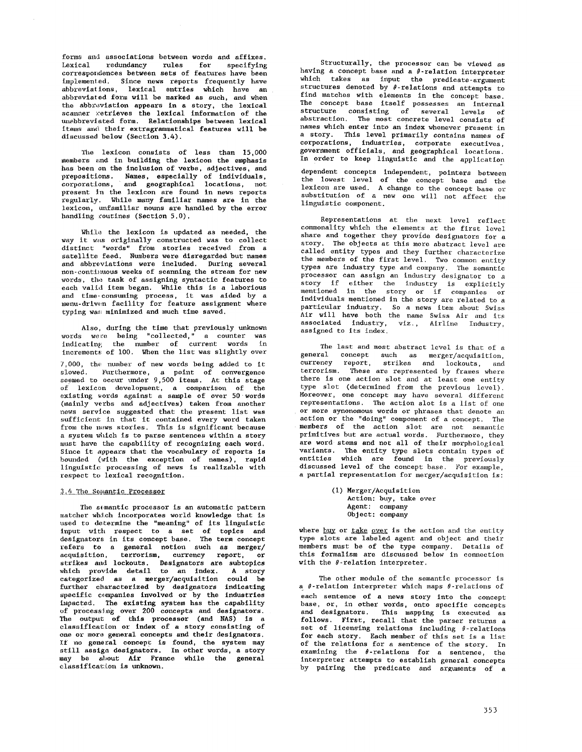forms and associations between words and affixes. Lexical redundancy rules for specifying correspondences between sets of features have been implemented. Since news reports frequently have abbreviations, lexlcal entries which have an abbreviated form will be marked as such, and when the abbreviation appears in a story, the lexical scanner *xetrieves* the lexical information of the unabbreviated form. Relationships between lexical items and their extragrammatical features will be discussed below (Section 3.4).

The lexicon consists of less than 15,000 members and in building the lexicon the emphasis has been on the inclusion of verbs, adjectives, and prepositions. Names, espeelally of individuals, corporations, and geographical locations, not present In the lexicon are found in news reports regularly. While many familiar names are in the lexicon, unfamiliar nouns are handled by the error handling routines (Section 5.0).

While the lexicon is updated as needed, the way it was originally constructed was to collect distinct "words" from stories received from a satellite feed. Numbers were disregarded but names and abbreviations were included. During several *non-continuous* weeks of scanning the stream for new words, the task of assigning syntactic features to each valid item began. While this is a laborious and time.consuming process, it was aided by a menu-drlw~n facility for feature assignment where typing was minimized and much time saved.

Also, during the time that previously unknown words were being "collected," a counter was indicatin~ the number of *current* words in increments of I00. When the llst was slightly over

 $7,000$ , the number of new words being added to it slowed. Furthermore, a point of convergence seemed to occur under 9,500 items. At this stage of lexicon development, a comparison of the existing words against a sample of over 50 words (mainly verbs and adjectives) taken from another news service suggested that the present llst was sufficient in that it contained every word taken from the news stories. This is significant because a system which is to parse sentences within a story must have the capability of recognizing each word. Since it appears that the vocabulary of reports is bounded (with the exception of names), rapid linguistic processing of news is realizable with respect to ].exical recognition.

## 3.4 The Semantic Processor

The semantic processor is an automatic pattern marcher which incorporates world knowledge that is used to determine the "meaning" of its linguistic input with respect to a set of topics and designators in its concept base. The term concept refers to a general notion such as merger/ acquisition, terrorism, currency report, or strikes and lockouts. Designators are subtopics which provide detail to an index. A story categorized as a *merger/acqulsltlon* could be further characterized by designators indicating specific companies involved or by the industries impacted. The existing system has the capability of processing over 200 concepts and designators. The output of this processor (and NAS) is a classification or index of a story consisting of one or more general concepts and their designators. If no general concept is found, the system may still assign designators. In other words, a story may be sbout Air France while the general classification is unknown.

Structurally, the processor can be viewed as having a concept base and a  $\theta$ -relation interpreter which takes as input the predicate-argument structures denoted by  $\theta$ -relations and attempts to find matches with elements in the concept base. The concept base itself possesses an internal structure consisting of several levels of abstraction. The most concrete level consists of names which enter into an index whenever present in a story. This level primarily contains names of corporations, industries, corporate executives, government officials, and geographical locations. In order to keep linguistic and the application

dependent concepts independent, pointers between the lowest level of the concept base and the lexicon are used. A change to the concept base or substitution of a new one will not affect the linguistic component.

Representations at the next level reflect commonality which the elements at the first level share and together they provide designators for a story. The objects at this *more* abstract level are called entity types and they further characterize the members of the first level. Two common entity types are industry type and company. The semantic processor can assign an industry designator to a story if either the industry is explicitly mentioned in the story or if companies or individuals mentioned in the story are related to a particular industry. So a news item about Swiss Air will have both the name Swiss Air and its associated industry, viz., Airline Industry, assigned to its index.

The last and most abstract level is that of a general concept such as merger/acquisition, currency report, strikes and lockouts, and terrorism. These are represented by frames where there is one action slot and at least one entity type slot (determined from the previous level). Moreover, one concept may have several different representations. The action slot is a list of one or more synonomous words or phrases that denote an action or the "doing" component of a concept. The members of the action slot are not semantic primitives but are actual words. Furthermore, they are word stems and not all of their morphological variants. The entity type slots contain types of entities which are found in the previously discussed level of the concept base. For example, a partial representation for merger/acquisition is:

> (i) Merger/Acquisition Action: buy, take over Agent: company Object: company

where buy or take over is the action and the entity type slots are labeled agent and object and their members must be of the type company. Details of this formalism are discussed below in connection with the  $\theta$ -relation interpreter.

The other module of the semantic processor is a  $\theta$ -relation interpreter which maps  $\theta$ -relations of each sentence of a news story into the concept base, or, in other words, onto specific concepts and designators. This mapping is executed as follows. First, recall *that* the parser returns a set of licensing relations including  $\theta$ -relations for each story. Each member of this set is a list of the relations for a sentence of the story. In examining the  $\theta$ -relations for a sentence, the interpreter attempts to establish general concepts by pairing the predicate and arguments of a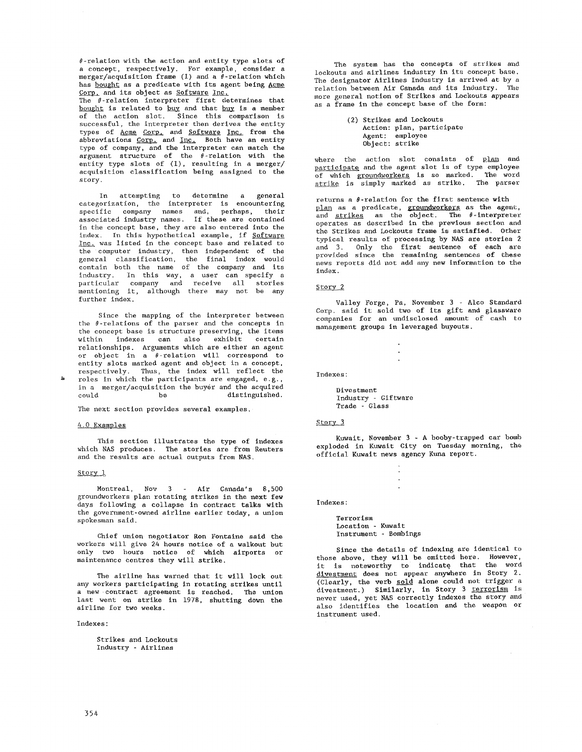$\theta$ -relation with the action and entity type slots of a concept, respectively. For example, consider a merger/acquisition frame (1) and a  $\theta$ -relation which has bought as a predicate with its agent being Acme Corp. and its object as Software Inc.

The 0-relatlon interpreter first determines that bought is related to buy and that buy is a member of the action slot. Since this comparison is successful, the interpreter then derives the entity types of <u>Acme Corp,</u> and Software Inc. from the abbreviations Corp. and Inc. Both have an entity type of company, and the interpreter can match the argument structure of the  $\theta$ -relation with the entity type slots of (1), resulting in a merger/ acquisition classification being assigned to the story.

In attempting to determine a general categorization, the interpreter is encountering specific company names and, perhaps, their associated industry names. If these are contained in the concept base, they are also entered into the index. In this hypothetical example, if Software Inc. was listed in the concept base and related to the computer industry, then independent of the general classification, the final index would contain both the name of the company and its industry. In this way, a user can specify a particular company and receive all stories mentioning it, although there may not be any further index.

Since the mapping of the interpreter between the  $\theta$ -relations of the parser and the concepts in the concept base is structure preserving, the items within indexes can also exhibit certain relationships. Arguments which are either an agent or object in a  $\theta$ -relation will correspond to entity slots marked agent and object in a concept, respectively. Thus, the index will reflect the roles in which the participants are engaged, e.g., in a merger/acquisition the buyer and the acquired<br>could be distinguished. be distinguished.

The next section provides several examples.

#### 4.0 Examples

This section illustrates the type of indexes which NAS produces. The stories are from Reuters and the results are actual outputs from NAS.

#### Story 1

Montreal, Nov 3 - Air Canada's 8,500 groundworkers plan rotating strikes in the next few days following a collapse in contract talks with the government-owned airline earlier today, a union spokesman said.

Chief union negotiator Ron Fontaine said the workers will give 24 hours notice of a walkout but only two hours notice of which airports or maintenance centres they will strike.

The airline has warned that it will lock out any workers participating in rotating strikes until a new contract agreement is reached. The union last went on strike in 1978, shutting down the airline for two weeks.

Indexes:

Strikes and Lockouts Industry - Airlines

The system has the concepts of strikes and lockouts and airlines industry in its concept base. The designator Airlines Industry is arrived at by a relation between Air Canada and its industry. The more general notion of Strikes and Lockouts appears as a frame in the concept base of the form:

> (2) Strikes and Lockouts Action: plan, participate Agent: employee Object: strike

where the action slot consists of plan and participate and the agent slot is of type employee of which <u>groundworkers</u> is so marked. The word <u>strike</u> is simply marked as strike. The parser

returns a  $\theta$ -relation for the first sentence with as a predicate, <u>groundworkers</u> as the agent, and <u>strikes</u> as the object. The  $\theta$ -interpreter operates as described in the previous section and the Strikes and Lockouts frame is satisfied. Other typical results of processing by NAS are stories 2 and 3. Only the first sentence of each are provided since the remaining sentences of these news reports did not add any new information to the index.

## Story<sub>2</sub>

Valley Forge, Pa, November 3 - Alco Standard Corp. said it sold two of its gift and glassware companies for an undisclosed amount of cash to management groups in leveraged huyouts.

 $\cdot$ 

Indexes:

Divestment Industry - Giftware Trade - Glass

## Story.3

Kuwait, November 3 - A booby-trapped car bomb exploded in Kuwait City on Tuesday morning, the official Kuwait news agency Kuna report.

Indexes:

Terrorism Location - Kuwait Instrument - Bombings

Since the details of indexing are identical to those above, they will be omitted here. However, it is noteworthy to indicate that the word divestment does not appear anywhere in Story 2. (Clearly, the verb sold alone could not trigger a divestment.) Similarly, in Story 3 terrorism is never used, yet NAS correctly indexes the story and also identifies the location and the weapon or instrument used.